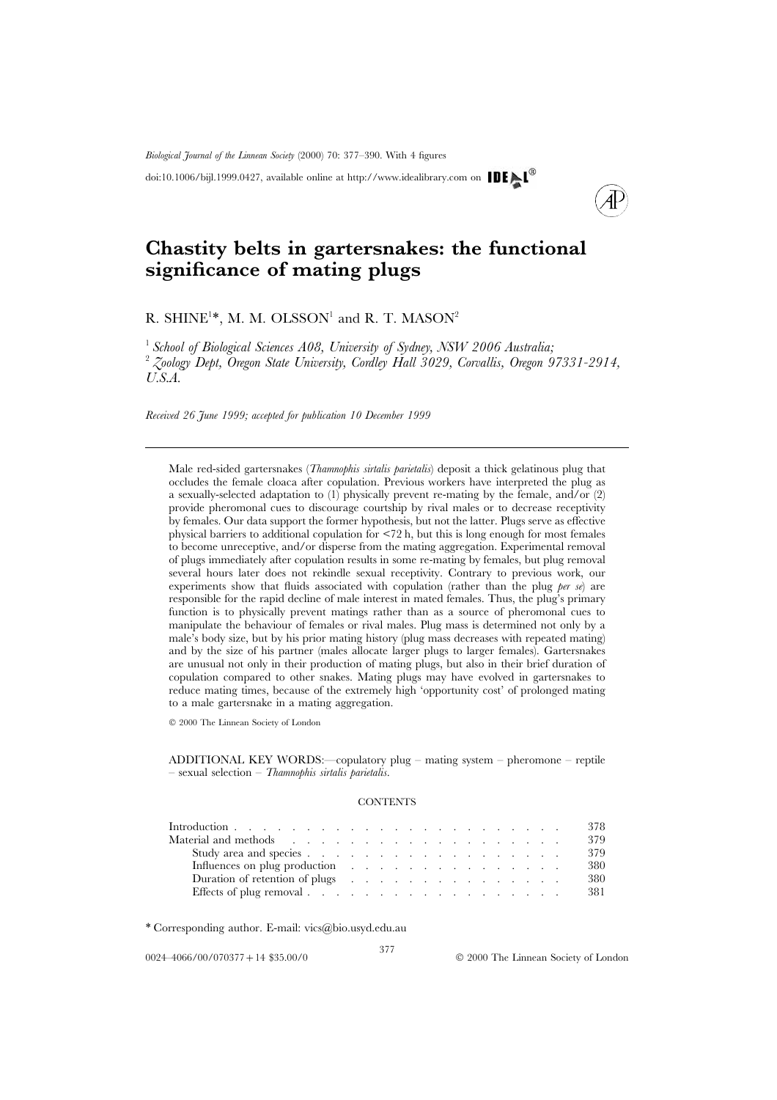*Biological Journal of the Linnean Society* (2000) 70: 377–390. With 4 figures

doi:10.1006/bijl.1999.0427, available online at http://www.idealibrary.com on **IDE** 

# **Chastity belts in gartersnakes: the functional significance of mating plugs**

R. SHINE<sup>1</sup>\*, M. M. OLSSON<sup>1</sup> and R. T. MASON<sup>2</sup>

<sup>1</sup> School of Biological Sciences A08, University of Sydney, NSW 2006 Australia; <sup>2</sup> *Zoology Dept, Oregon State University, Cordley Hall 3029, Corvallis, Oregon 97331-2914, U.S.A.*

*Received 26 June 1999; accepted for publication 10 December 1999*

Male red-sided gartersnakes (*Thamnophis sirtalis parietalis*) deposit a thick gelatinous plug that occludes the female cloaca after copulation. Previous workers have interpreted the plug as a sexually-selected adaptation to (1) physically prevent re-mating by the female, and/or (2) provide pheromonal cues to discourage courtship by rival males or to decrease receptivity by females. Our data support the former hypothesis, but not the latter. Plugs serve as effective physical barriers to additional copulation for <72 h, but this is long enough for most females to become unreceptive, and/or disperse from the mating aggregation. Experimental removal of plugs immediately after copulation results in some re-mating by females, but plug removal several hours later does not rekindle sexual receptivity. Contrary to previous work, our experiments show that fluids associated with copulation (rather than the plug *per se*) are responsible for the rapid decline of male interest in mated females. Thus, the plug's primary function is to physically prevent matings rather than as a source of pheromonal cues to manipulate the behaviour of females or rival males. Plug mass is determined not only by a male's body size, but by his prior mating history (plug mass decreases with repeated mating) and by the size of his partner (males allocate larger plugs to larger females). Gartersnakes are unusual not only in their production of mating plugs, but also in their brief duration of copulation compared to other snakes. Mating plugs may have evolved in gartersnakes to reduce mating times, because of the extremely high 'opportunity cost' of prolonged mating to a male gartersnake in a mating aggregation.

2000 The Linnean Society of London

ADDITIONAL KEY WORDS:—copulatory plug – mating system – pheromone – reptile – sexual selection – *Thamnophis sirtalis parietalis*.

#### **CONTENTS**

|                                                                                                                                                                                                                                |  |  |  |  |  |  |  | 378 |
|--------------------------------------------------------------------------------------------------------------------------------------------------------------------------------------------------------------------------------|--|--|--|--|--|--|--|-----|
|                                                                                                                                                                                                                                |  |  |  |  |  |  |  | 379 |
|                                                                                                                                                                                                                                |  |  |  |  |  |  |  | 379 |
| Influences on plug production                                                                                                                                                                                                  |  |  |  |  |  |  |  | 380 |
| Duration of retention of plugs expansion of the set of the set of plugs and the set of the set of the set of the set of the set of the set of the set of the set of the set of the set of the set of the set of the set of the |  |  |  |  |  |  |  | 380 |
|                                                                                                                                                                                                                                |  |  |  |  |  |  |  | 381 |

377

∗ Corresponding author. E-mail: vics@bio.usyd.edu.au

 $0.024 - 4066/00/070377 + 14$  \$35.00/0  $\degree$  2000 The Linnean Society of London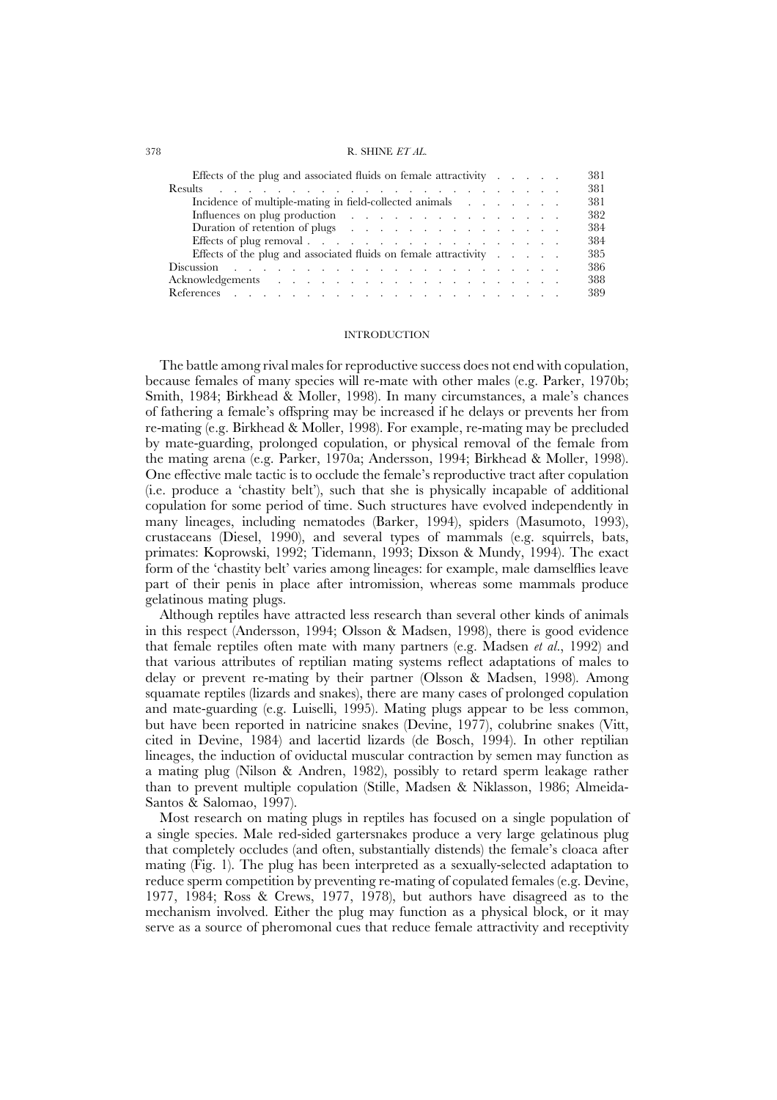| Effects of the plug and associated fluids on female attractivity                                                                                                                                                               |  |  | 381 |
|--------------------------------------------------------------------------------------------------------------------------------------------------------------------------------------------------------------------------------|--|--|-----|
|                                                                                                                                                                                                                                |  |  | 381 |
| Incidence of multiple-mating in field-collected animals                                                                                                                                                                        |  |  | 381 |
| Influences on plug production and a series and a series of the series of the series of the series of the series of the series of the series of the series of the series of the series of the series of the series of the serie |  |  | 382 |
| Duration of retention of plugs residence in the set of the set of plugs response in the set of the set of the set of the set of the set of the set of the set of the set of the set of the set of the set of the set of the se |  |  | 384 |
|                                                                                                                                                                                                                                |  |  | 384 |
| Effects of the plug and associated fluids on female attractivity                                                                                                                                                               |  |  | 385 |
|                                                                                                                                                                                                                                |  |  | 386 |
|                                                                                                                                                                                                                                |  |  | 388 |
|                                                                                                                                                                                                                                |  |  | 389 |

#### **INTRODUCTION**

The battle among rival males for reproductive success does not end with copulation, because females of many species will re-mate with other males (e.g. [Parker, 1970b;](#page-12-0) [Smith, 1984;](#page-13-0) [Birkhead & Moller, 1998\)](#page-12-0). In many circumstances, a male's chances of fathering a female's offspring may be increased if he delays or prevents her from re-mating (e.g[. Birkhead & Moller, 1998\).](#page-12-0) For example, re-mating may be precluded by mate-guarding, prolonged copulation, or physical removal of the female from the mating arena (e.g. [Parker, 1970a; Andersson, 1994; Birkhead & Moller, 1998\).](#page-12-0) One effective male tactic is to occlude the female's reproductive tract after copulation (i.e. produce a 'chastity belt'), such that she is physically incapable of additional copulation for some period of time. Such structures have evolved independently in many lineages, including nematodes [\(Barker, 1994\),](#page-12-0) spiders [\(Masumoto, 1993\),](#page-12-0) crustaceans [\(Diesel, 1990\),](#page-12-0) and several types of mammals (e.g. squirrels, bats, primates: [Koprowski, 1992;](#page-12-0) [Tidemann, 1993;](#page-13-0) [Dixson & Mundy, 1994\).](#page-12-0) The exact form of the 'chastity belt' varies among lineages: for example, male damselflies leave part of their penis in place after intromission, whereas some mammals produce gelatinous mating plugs.

Although reptiles have attracted less research than several other kinds of animals in this respect [\(Andersson, 1994; Olsson & Madsen, 1998\)](#page-12-0), there is good evidence that female reptiles often mate with many partners (e.g. [Madsen](#page-12-0) *et al*., 1992) and that various attributes of reptilian mating systems reflect adaptations of males to delay or prevent re-mating by their partner [\(Olsson & Madsen, 1998\).](#page-12-0) Among squamate reptiles (lizards and snakes), there are many cases of prolonged copulation and mate-guarding (e.g. [Luiselli, 1995\)](#page-12-0). Mating plugs appear to be less common, but have been reported in natricine snakes [\(Devine, 1977\),](#page-12-0) colubrine snakes (Vitt, cited in [Devine, 1984\)](#page-12-0) and lacertid lizards [\(de Bosch, 1994\).](#page-12-0) In other reptilian lineages, the induction of oviductal muscular contraction by semen may function as a mating plug [\(Nilson & Andren, 1982\)](#page-12-0), possibly to retard sperm leakage rather than to prevent multiple copulation [\(Stille, Madsen & Niklasson, 1986;](#page-13-0) [Almeida-](#page-12-0)Santos & Salomao, 1997).

Most research on mating plugs in reptiles has focused on a single population of a single species. Male red-sided gartersnakes produce a very large gelatinous plug that completely occludes (and often, substantially distends) the female's cloaca after mating (Fig. 1). The plug has been interpreted as a sexually-selected adaptation to [reduc](#page-12-0)e sperm competition by preventing re-mating of copulated females (e.g. [Devine,](#page-12-0) 1977, [1984; Ross & Crews, 1977,](#page-12-0) [1978\)](#page-13-0), but authors have disagreed as to the mechanism involved. Either the plug may function as a physical block, or it may serve as a source of pheromonal cues that reduce female attractivity and receptivity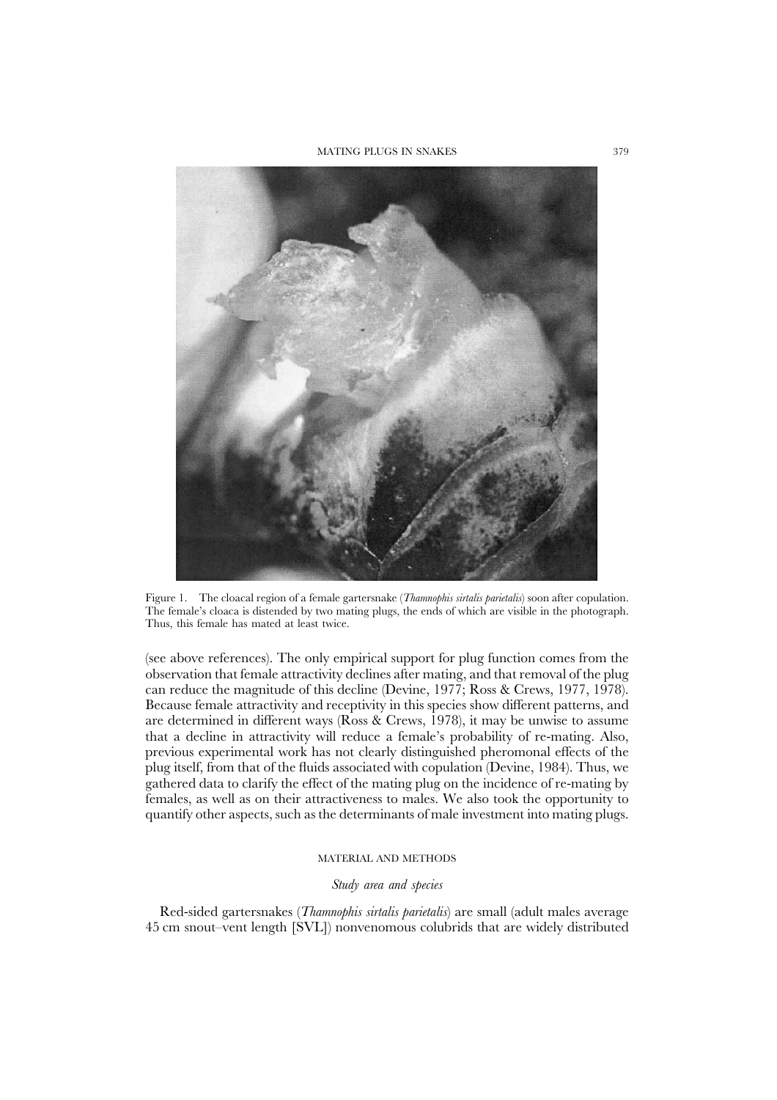MATING PLUGS IN SNAKES 379



Figure 1. The cloacal region of a female gartersnake (*Thamnophis sirtalis parietalis*) soon after copulation. The female's cloaca is distended by two mating plugs, the ends of which are visible in the photograph. Thus, this female has mated at least twice.

(see above references). The only empirical support for plug function comes from the observation that female attractivity declines after mating, and that removal of the plug can reduce the magnitude of this declin[e \(Devine, 1977; Ross & Crews, 1977,](#page-12-0) [1978\).](#page-13-0) Because female attractivity and receptivity in this species show different patterns, and are determined in different ways [\(Ross & Crews, 1978\),](#page-13-0) it may be unwise to assume that a decline in attractivity will reduce a female's probability of re-mating. Also, previous experimental work has not clearly distinguished pheromonal effects of the plug itself, from that of the fluids associated with copulation [\(Devine, 1984\).](#page-12-0) Thus, we gathered data to clarify the effect of the mating plug on the incidence of re-mating by females, as well as on their attractiveness to males. We also took the opportunity to quantify other aspects, such as the determinants of male investment into mating plugs.

### MATERIAL AND METHODS

## *Study area and species*

Red-sided gartersnakes (*Thamnophis sirtalis parietalis*) are small (adult males average 45 cm snout–vent length [SVL]) nonvenomous colubrids that are widely distributed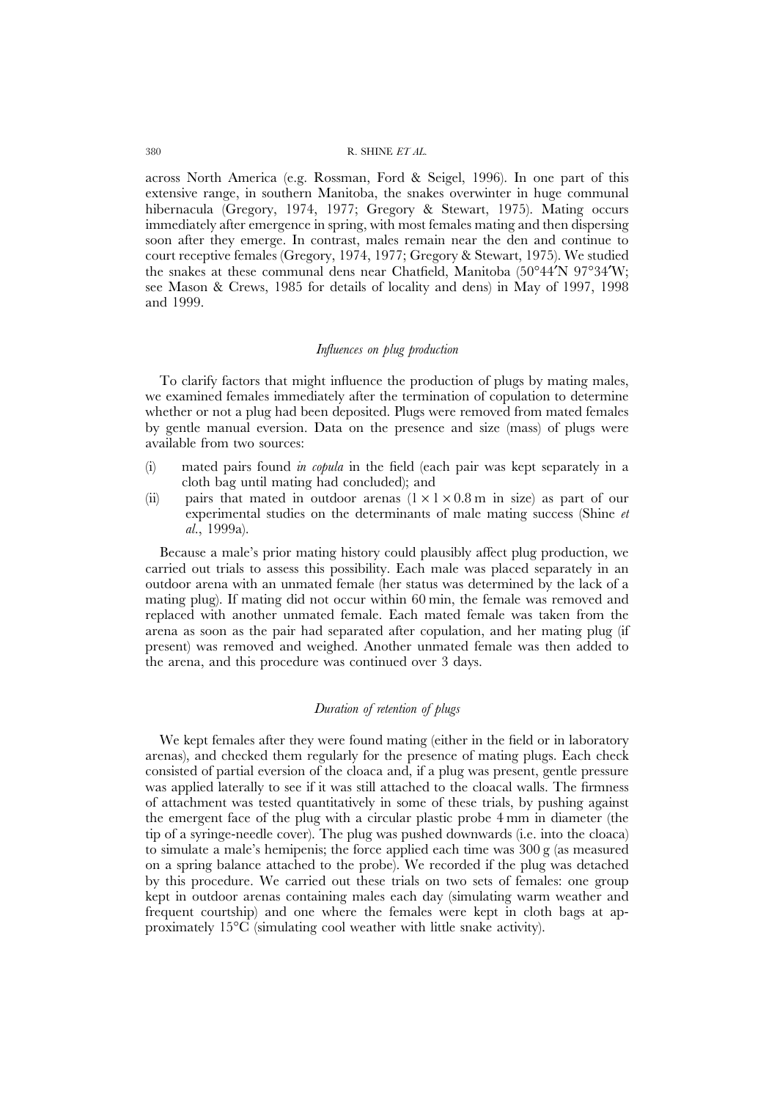across North America (e.g. [Rossman, Ford & Seigel, 1996\).](#page-13-0) In one part of this extensive range, in southern Manitoba, the snakes overwinter in huge communal hibernacula [\(Gregory, 1974, 1977; Gregory & Stewart, 1975\).](#page-12-0) Mating occurs immediately after emergence in spring, with most females mating and then dispersing soon after they emerge. In contrast, males remain near the den and continue to court receptive female[s \(Gregory, 1974, 1977; Gregory & Stewart, 1975\).](#page-12-0) We studied the snakes at these communal dens near Chatfield, Manitoba (50°44′N 97°34′W; see [Mason & Crews, 1985](#page-12-0) for details of locality and dens) in May of 1997, 1998 and 1999.

## *Influences on plug production*

To clarify factors that might influence the production of plugs by mating males, we examined females immediately after the termination of copulation to determine whether or not a plug had been deposited. Plugs were removed from mated females by gentle manual eversion. Data on the presence and size (mass) of plugs were available from two sources:

- (i) mated pairs found *in copula* in the field (each pair was kept separately in a cloth bag until mating had concluded); and
- (ii) pairs that mated in outdoor arenas  $(1 \times 1 \times 0.8 \text{ m})$  in size) as part of our experimental studies on the determinants of male mating success [\(Shine](#page-13-0) *et al*., 1999a).

Because a male's prior mating history could plausibly affect plug production, we carried out trials to assess this possibility. Each male was placed separately in an outdoor arena with an unmated female (her status was determined by the lack of a mating plug). If mating did not occur within 60 min, the female was removed and replaced with another unmated female. Each mated female was taken from the arena as soon as the pair had separated after copulation, and her mating plug (if present) was removed and weighed. Another unmated female was then added to the arena, and this procedure was continued over 3 days.

# *Duration of retention of plugs*

We kept females after they were found mating (either in the field or in laboratory arenas), and checked them regularly for the presence of mating plugs. Each check consisted of partial eversion of the cloaca and, if a plug was present, gentle pressure was applied laterally to see if it was still attached to the cloacal walls. The firmness of attachment was tested quantitatively in some of these trials, by pushing against the emergent face of the plug with a circular plastic probe 4 mm in diameter (the tip of a syringe-needle cover). The plug was pushed downwards (i.e. into the cloaca) to simulate a male's hemipenis; the force applied each time was  $300 \text{ g}$  (as measured on a spring balance attached to the probe). We recorded if the plug was detached by this procedure. We carried out these trials on two sets of females: one group kept in outdoor arenas containing males each day (simulating warm weather and frequent courtship) and one where the females were kept in cloth bags at approximately 15°C (simulating cool weather with little snake activity).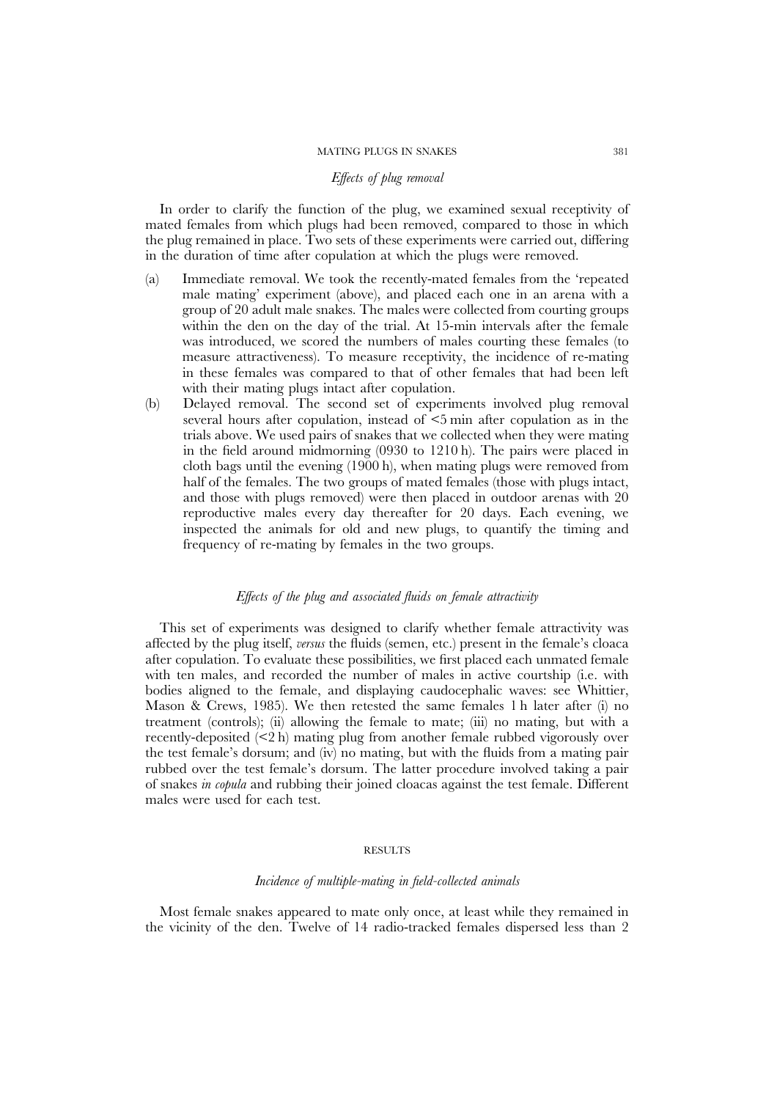### MATING PLUGS IN SNAKES 381

# *Effects of plug removal*

In order to clarify the function of the plug, we examined sexual receptivity of mated females from which plugs had been removed, compared to those in which the plug remained in place. Two sets of these experiments were carried out, differing in the duration of time after copulation at which the plugs were removed.

- (a) Immediate removal. We took the recently-mated females from the 'repeated male mating' experiment (above), and placed each one in an arena with a group of 20 adult male snakes. The males were collected from courting groups within the den on the day of the trial. At 15-min intervals after the female was introduced, we scored the numbers of males courting these females (to measure attractiveness). To measure receptivity, the incidence of re-mating in these females was compared to that of other females that had been left with their mating plugs intact after copulation.
- (b) Delayed removal. The second set of experiments involved plug removal several hours after copulation, instead of <5 min after copulation as in the trials above. We used pairs of snakes that we collected when they were mating in the field around midmorning (0930 to 1210 h). The pairs were placed in cloth bags until the evening (1900 h), when mating plugs were removed from half of the females. The two groups of mated females (those with plugs intact, and those with plugs removed) were then placed in outdoor arenas with 20 reproductive males every day thereafter for 20 days. Each evening, we inspected the animals for old and new plugs, to quantify the timing and frequency of re-mating by females in the two groups.

### *Effects of the plug and associated fluids on female attractivity*

This set of experiments was designed to clarify whether female attractivity was affected by the plug itself, *versus* the fluids (semen, etc.) present in the female's cloaca after copulation. To evaluate these possibilities, we first placed each unmated female with ten males, and recorded the number of males in active courtship (i.e. with bodies aligned to the female, and displaying caudocephalic waves: see [Whittier,](#page-13-0) Mason & Crews, 1985). We then retested the same females 1 h later after (i) no treatment (controls); (ii) allowing the female to mate; (iii) no mating, but with a recently-deposited (<2 h) mating plug from another female rubbed vigorously over the test female's dorsum; and (iv) no mating, but with the fluids from a mating pair rubbed over the test female's dorsum. The latter procedure involved taking a pair of snakes *in copula* and rubbing their joined cloacas against the test female. Different males were used for each test.

## RESULTS

## *Incidence of multiple-mating in field-collected animals*

Most female snakes appeared to mate only once, at least while they remained in the vicinity of the den. Twelve of 14 radio-tracked females dispersed less than 2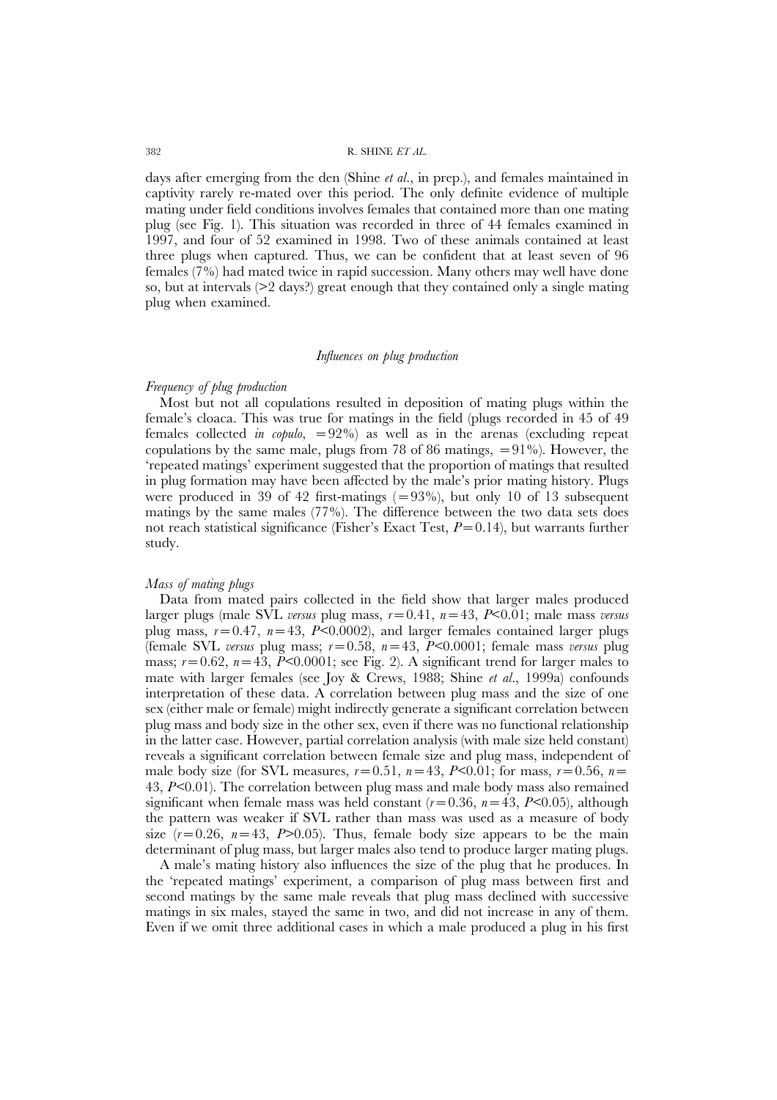days after emerging from the den (Shine *et al*., in prep.), and females maintained in captivity rarely re-mated over this period. The only definite evidence of multiple mating under field conditions involves females that contained more than one mating plug (see Fig. 1). This situation was recorded in three of 44 females examined in 1997, and four of 52 examined in 1998. Two of these animals contained at least three plugs when captured. Thus, we can be confident that at least seven of 96 females (7%) had mated twice in rapid succession. Many others may well have done so, but at intervals (>2 days?) great enough that they contained only a single mating plug when examined.

#### *Influences on plug production*

#### *Frequency of plug production*

Most but not all copulations resulted in deposition of mating plugs within the female's cloaca. This was true for matings in the field (plugs recorded in 45 of 49 females collected *in copulo*, =92%) as well as in the arenas (excluding repeat copulations by the same male, plugs from 78 of 86 matings,  $=91\%$ ). However, the 'repeated matings' experiment suggested that the proportion of matings that resulted in plug formation may have been affected by the male's prior mating history. Plugs were produced in 39 of 42 first-matings  $(=93\%)$ , but only 10 of 13 subsequent matings by the same males (77%). The difference between the two data sets does not reach statistical significance (Fisher's Exact Test, *P*=0.14), but warrants further study.

## *Mass of mating plugs*

Data from mated pairs collected in the field show that larger males produced larger plugs (male SVL *versus* plug mass, *r*=0.41, *n*=43, *P*<0.01; male mass *versus* plug mass,  $r=0.47$ ,  $n=43$ ,  $P<0.0002$ ), and larger females contained larger plugs (female SVL *versus* plug mass; *r*=0.58, *n*=43, *P<*0.0001; female mass *versus* plug mass;  $r=0.62$ ,  $n=43$ ,  $P<0.0001$ ; see Fig. 2). A significant trend for larger males to mate with larger females (see [Joy & Crews, 1988;](#page-12-0) Shine *et al*[., 1999a\)](#page-13-0) confounds interpretation of these data. A correlation between plug mass and the size of one sex (either male or female) might indirectly generate a significant correlation between plug mass and body size in the other sex, even if there was no functional relationship in the latter case. However, partial correlation analysis (with male size held constant) reveals a significant correlation between female size and plug mass, independent of male body size (for SVL measures,  $r = 0.51$ ,  $n = 43$ ,  $P < 0.01$ ; for mass,  $r = 0.56$ ,  $n =$ 43, *P<*0.01). The correlation between plug mass and male body mass also remained significant when female mass was held constant  $(r=0.36, n=43, P<0.05)$ , although the pattern was weaker if SVL rather than mass was used as a measure of body size  $(r=0.26, n=43, P>0.05)$ . Thus, female body size appears to be the main determinant of plug mass, but larger males also tend to produce larger mating plugs.

A male's mating history also influences the size of the plug that he produces. In the 'repeated matings' experiment, a comparison of plug mass between first and second matings by the same male reveals that plug mass declined with successive matings in six males, stayed the same in two, and did not increase in any of them. Even if we omit three additional cases in which a male produced a plug in his first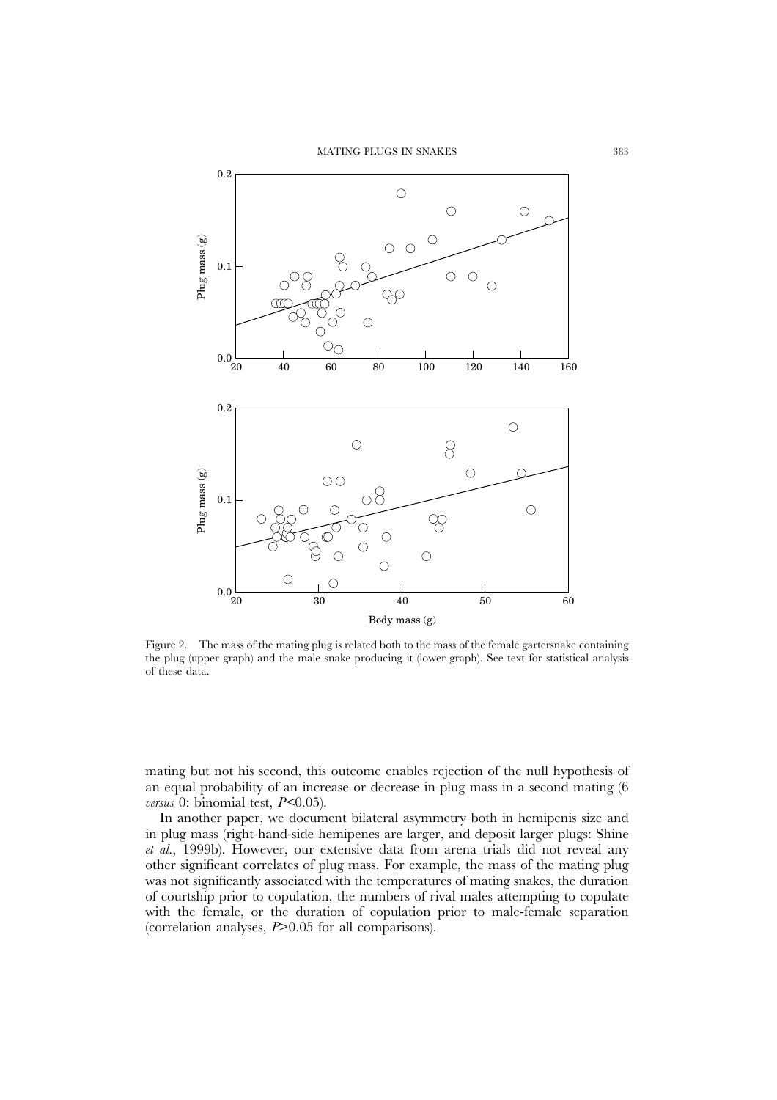

Figure 2. The mass of the mating plug is related both to the mass of the female gartersnake containing the plug (upper graph) and the male snake producing it (lower graph). See text for statistical analysis of these data.

mating but not his second, this outcome enables rejection of the null hypothesis of an equal probability of an increase or decrease in plug mass in a second mating (6 *versus* 0: binomial test, *P<*0.05).

In another paper, we document bilateral asymmetry both in hemipenis size and in plug mass (right-hand-side hemipenes are larger, and deposit larger plugs: [Shine](#page-13-0) *et al*., 1999b). However, our extensive data from arena trials did not reveal any other significant correlates of plug mass. For example, the mass of the mating plug was not significantly associated with the temperatures of mating snakes, the duration of courtship prior to copulation, the numbers of rival males attempting to copulate with the female, or the duration of copulation prior to male-female separation (correlation analyses, *P*>0.05 for all comparisons).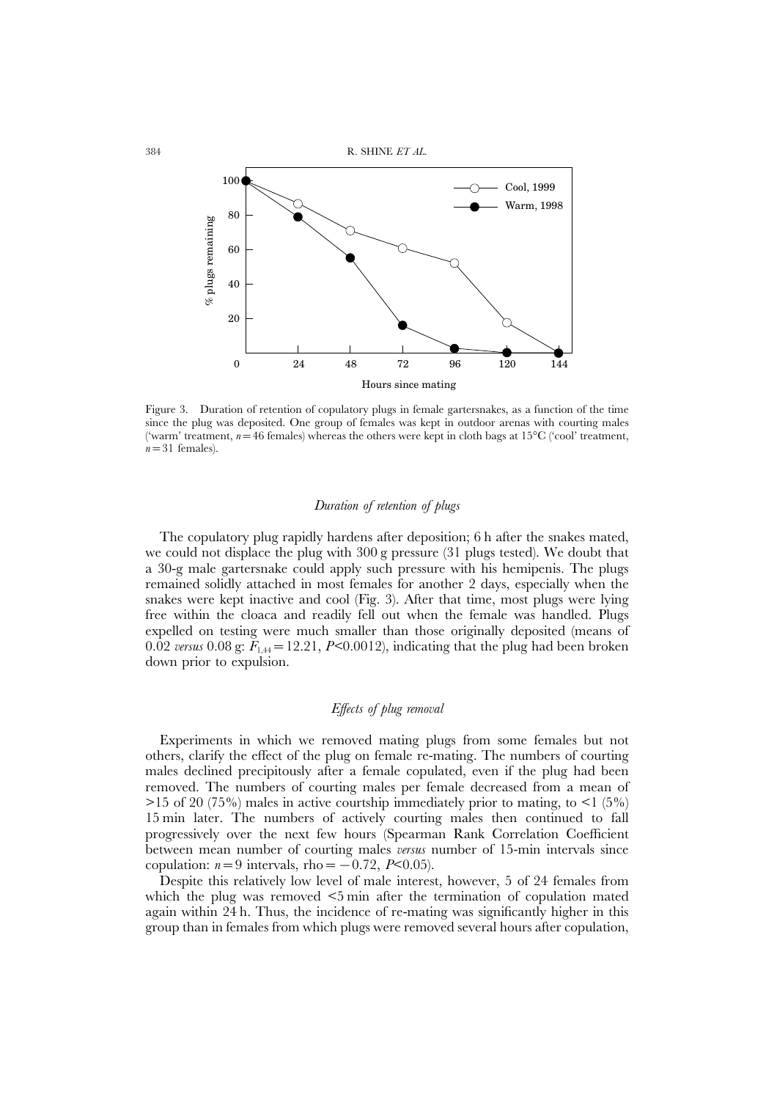

Figure 3. Duration of retention of copulatory plugs in female gartersnakes, as a function of the time since the plug was deposited. One group of females was kept in outdoor arenas with courting males ('warm' treatment,  $n=46$  females) whereas the others were kept in cloth bags at 15<sup>o</sup>C ('cool' treatment,  $n=31$  females).

## *Duration of retention of plugs*

The copulatory plug rapidly hardens after deposition; 6 h after the snakes mated, we could not displace the plug with  $300 \text{ g}$  pressure (31 plugs tested). We doubt that a 30-g male gartersnake could apply such pressure with his hemipenis. The plugs remained solidly attached in most females for another 2 days, especially when the snakes were kept inactive and cool (Fig. 3). After that time, most plugs were lying free within the cloaca and readily fell out when the female was handled. Plugs expelled on testing were much smaller than those originally deposited (means of 0.02 *versus* 0.08 g:  $F_{1,44} = 12.21$ ,  $P<0.0012$ ), indicating that the plug had been broken down prior to expulsion.

# *Effects of plug removal*

Experiments in which we removed mating plugs from some females but not others, clarify the effect of the plug on female re-mating. The numbers of courting males declined precipitously after a female copulated, even if the plug had been removed. The numbers of courting males per female decreased from a mean of  $>15$  of 20 (75%) males in active courtship immediately prior to mating, to  $<1$  (5%) 15 min later. The numbers of actively courting males then continued to fall progressively over the next few hours (Spearman Rank Correlation Coefficient between mean number of courting males *versus* number of 15-min intervals since copulation:  $n=9$  intervals, rho = −0.72, *P*<0.05).

Despite this relatively low level of male interest, however, 5 of 24 females from which the plug was removed <5 min after the termination of copulation mated again within 24 h. Thus, the incidence of re-mating was significantly higher in this group than in females from which plugs were removed several hours after copulation,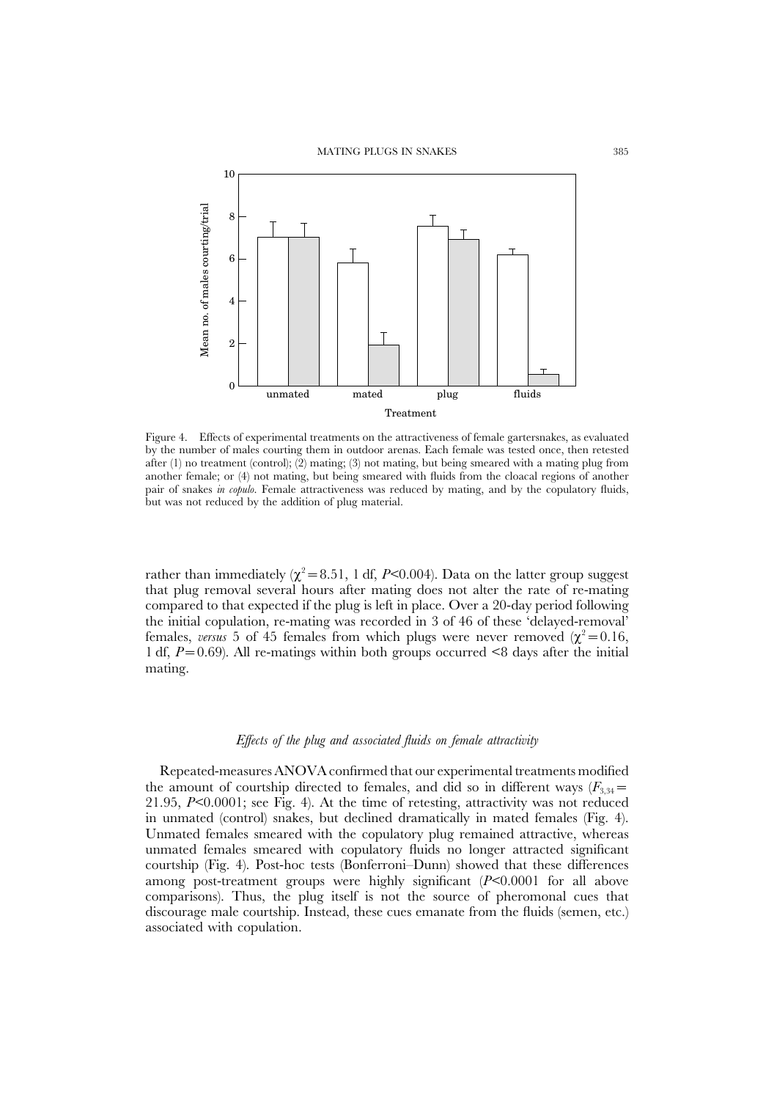

Figure 4. Effects of experimental treatments on the attractiveness of female gartersnakes, as evaluated by the number of males courting them in outdoor arenas. Each female was tested once, then retested after (1) no treatment (control); (2) mating; (3) not mating, but being smeared with a mating plug from another female; or (4) not mating, but being smeared with fluids from the cloacal regions of another pair of snakes *in copulo*. Female attractiveness was reduced by mating, and by the copulatory fluids, but was not reduced by the addition of plug material.

rather than immediately ( $\chi^2$  = 8.51, 1 df, *P*<0.004). Data on the latter group suggest that plug removal several hours after mating does not alter the rate of re-mating compared to that expected if the plug is left in place. Over a 20-day period following the initial copulation, re-mating was recorded in 3 of 46 of these 'delayed-removal' females, *versus* 5 of 45 females from which plugs were never removed  $(\chi^2 = 0.16,$ 1 df, *P*=0.69). All re-matings within both groups occurred <8 days after the initial mating.

## *Effects of the plug and associated fluids on female attractivity*

Repeated-measures ANOVA confirmed that our experimental treatments modified the amount of courtship directed to females, and did so in different ways  $(F_{3,34}$ 21.95, *P<*0.0001; see Fig. 4). At the time of retesting, attractivity was not reduced in unmated (control) snakes, but declined dramatically in mated females (Fig. 4). Unmated females smeared with the copulatory plug remained attractive, whereas unmated females smeared with copulatory fluids no longer attracted significant courtship (Fig. 4). Post-hoc tests (Bonferroni–Dunn) showed that these differences among post-treatment groups were highly significant (*P<*0.0001 for all above comparisons). Thus, the plug itself is not the source of pheromonal cues that discourage male courtship. Instead, these cues emanate from the fluids (semen, etc.) associated with copulation.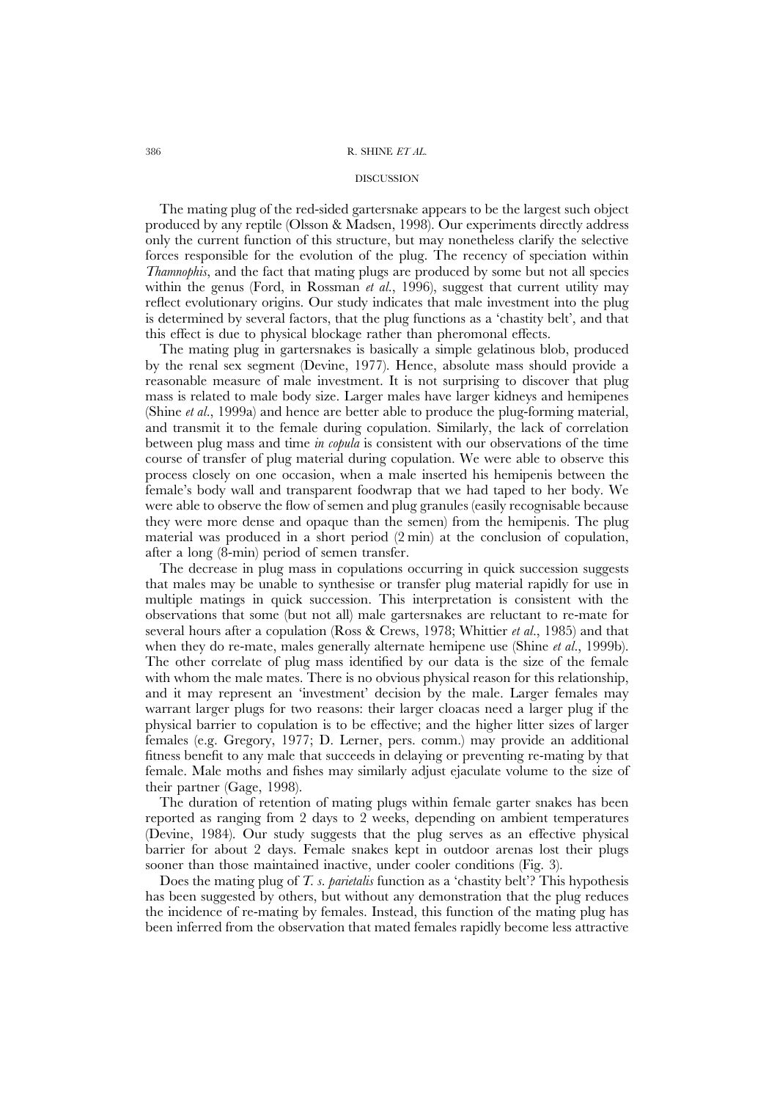#### DISCUSSION

The mating plug of the red-sided gartersnake appears to be the largest such object produced by any reptil[e \(Olsson & Madsen, 1998\)](#page-12-0). Our experiments directly address only the current function of this structure, but may nonetheless clarify the selective forces responsible for the evolution of the plug. The recency of speciation within *Thamnophis*, and the fact that mating plugs are produced by some but not all species within the genus (Ford, in [Rossman](#page-13-0) *et al*., 1996), suggest that current utility may reflect evolutionary origins. Our study indicates that male investment into the plug is determined by several factors, that the plug functions as a 'chastity belt', and that this effect is due to physical blockage rather than pheromonal effects.

The mating plug in gartersnakes is basically a simple gelatinous blob, produced by the renal sex segment [\(Devine, 1977\).](#page-12-0) Hence, absolute mass should provide a reasonable measure of male investment. It is not surprising to discover that plug mass is related to male body size. Larger males have larger kidneys and hemipenes (Shine *et al*[., 1999a\)](#page-13-0) and hence are better able to produce the plug-forming material, and transmit it to the female during copulation. Similarly, the lack of correlation between plug mass and time *in copula* is consistent with our observations of the time course of transfer of plug material during copulation. We were able to observe this process closely on one occasion, when a male inserted his hemipenis between the female's body wall and transparent foodwrap that we had taped to her body. We were able to observe the flow of semen and plug granules (easily recognisable because they were more dense and opaque than the semen) from the hemipenis. The plug material was produced in a short period (2 min) at the conclusion of copulation, after a long (8-min) period of semen transfer.

The decrease in plug mass in copulations occurring in quick succession suggests that males may be unable to synthesise or transfer plug material rapidly for use in multiple matings in quick succession. This interpretation is consistent with the observations that some (but not all) male gartersnakes are reluctant to re-mate for several hours after a copulation [\(Ross & Crews, 1978](#page-13-0); [Whittier](#page-13-0) *et al*., 1985) and that when they do re-mate, males generally alternate hemipene use (Shine *et al*[., 1999b\).](#page-13-0) The other correlate of plug mass identified by our data is the size of the female with whom the male mates. There is no obvious physical reason for this relationship, and it may represent an 'investment' decision by the male. Larger females may warrant larger plugs for two reasons: their larger cloacas need a larger plug if the physical barrier to copulation is to be effective; and the higher litter sizes of larger females (e.g. [Gregory, 1977;](#page-12-0) D. Lerner, pers. comm.) may provide an additional fitness benefit to any male that succeeds in delaying or preventing re-mating by that female. Male moths and fishes may similarly adjust ejaculate volume to the size of their partner [\(Gage, 1998\).](#page-12-0)

The duration of retention of mating plugs within female garter snakes has been reported as ranging from 2 days to 2 weeks, depending on ambient temperatures [\(Devine, 1984\).](#page-12-0) Our study suggests that the plug serves as an effective physical barrier for about 2 days. Female snakes kept in outdoor arenas lost their plugs sooner than those maintained inactive, under cooler conditions (Fig. 3).

Does the mating plug of *T. s. parietalis* function as a 'chastity belt'? This hypothesis has been suggested by others, but without any demonstration that the plug reduces the incidence of re-mating by females. Instead, this function of the mating plug has been inferred from the observation that mated females rapidly become less attractive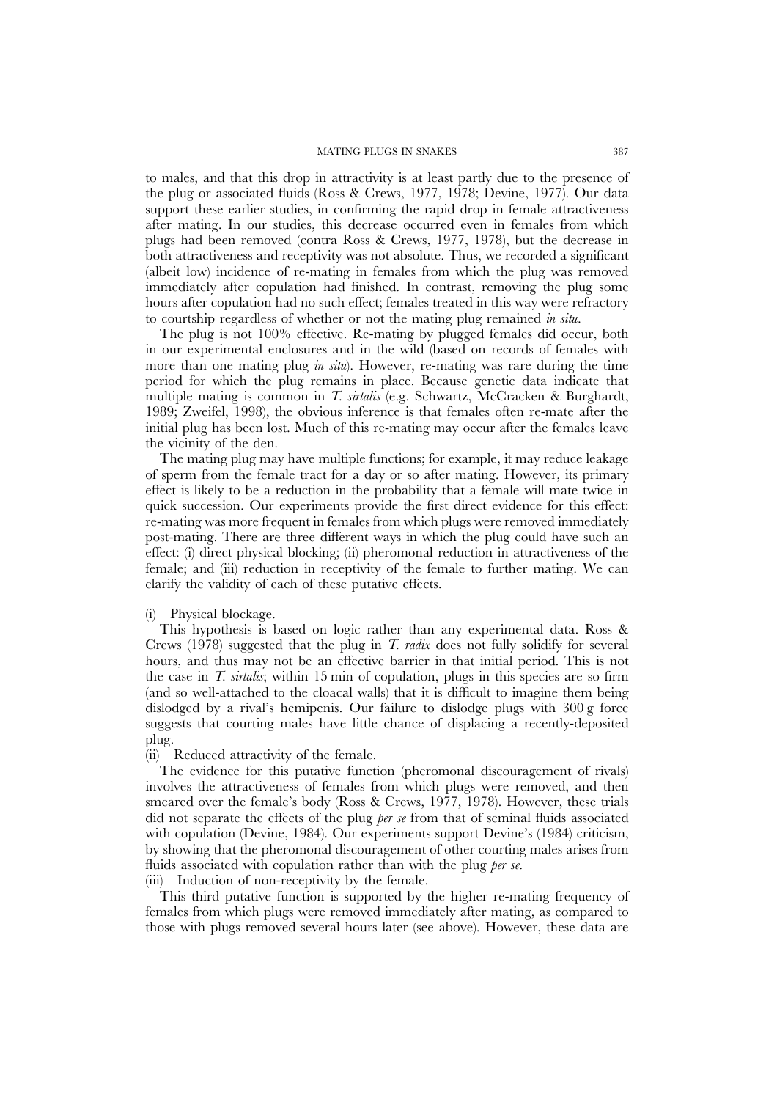to males, and that this drop in attractivity is at least partly due to the presence of the plug or associated fluids [\(Ross & Crews, 1977,](#page-12-0) [1978](#page-13-0); [Devine, 1977\).](#page-12-0) Our data support these earlier studies, in confirming the rapid drop in female attractiveness after mating. In our studies, this decrease occurred even in females from which plugs had been removed (contra [Ross & Crews, 1977,](#page-12-0) [1978\),](#page-13-0) but the decrease in both attractiveness and receptivity was not absolute. Thus, we recorded a significant (albeit low) incidence of re-mating in females from which the plug was removed immediately after copulation had finished. In contrast, removing the plug some hours after copulation had no such effect; females treated in this way were refractory to courtship regardless of whether or not the mating plug remained *in situ*.

The plug is not 100% effective. Re-mating by plugged females did occur, both in our experimental enclosures and in the wild (based on records of females with more than one mating plug *in situ*). However, re-mating was rare during the time period for which the plug remains in place. Because genetic data indicate that [multi](#page-13-0)ple mating is common in *T. sirtalis* (e.g. [Schwartz, McCracken & Burghardt,](#page-13-0) 1989; [Zweifel, 1998\),](#page-13-0) the obvious inference is that females often re-mate after the initial plug has been lost. Much of this re-mating may occur after the females leave the vicinity of the den.

The mating plug may have multiple functions; for example, it may reduce leakage of sperm from the female tract for a day or so after mating. However, its primary effect is likely to be a reduction in the probability that a female will mate twice in quick succession. Our experiments provide the first direct evidence for this effect: re-mating was more frequent in females from which plugs were removed immediately post-mating. There are three different ways in which the plug could have such an effect: (i) direct physical blocking; (ii) pheromonal reduction in attractiveness of the female; and (iii) reduction in receptivity of the female to further mating. We can clarify the validity of each of these putative effects.

#### (i) Physical blockage.

This hypothesis is based on logic rather than any experimental data. [Ross &](#page-13-0) Crews (1978) suggested that the plug in *T. radix* does not fully solidify for several hours, and thus may not be an effective barrier in that initial period. This is not the case in *T. sirtalis*; within 15 min of copulation, plugs in this species are so firm (and so well-attached to the cloacal walls) that it is difficult to imagine them being dislodged by a rival's hemipenis. Our failure to dislodge plugs with 300 g force suggests that courting males have little chance of displacing a recently-deposited plug.

## (ii) Reduced attractivity of the female.

The evidence for this putative function (pheromonal discouragement of rivals) involves the attractiveness of females from which plugs were removed, and then [smeared over the female's body \(Ross & Crews, 1977,](#page-12-0) [1978\).](#page-13-0) However, these trials did not separate the effects of the plug *per se* from that of seminal fluids associated with copulation [\(Devine, 1984\).](#page-12-0) Our experiments support [Devine's \(1984\)](#page-12-0) criticism, by showing that the pheromonal discouragement of other courting males arises from fluids associated with copulation rather than with the plug *per se*.

(iii) Induction of non-receptivity by the female.

This third putative function is supported by the higher re-mating frequency of females from which plugs were removed immediately after mating, as compared to those with plugs removed several hours later (see above). However, these data are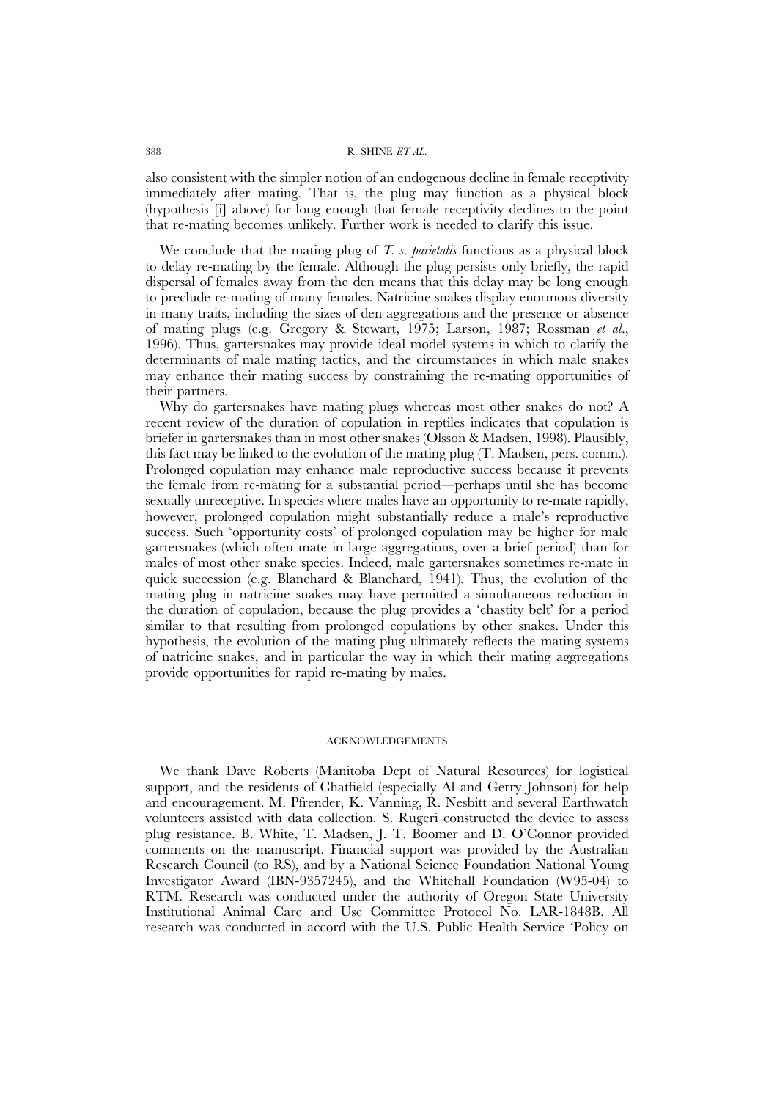also consistent with the simpler notion of an endogenous decline in female receptivity immediately after mating. That is, the plug may function as a physical block (hypothesis [i] above) for long enough that female receptivity declines to the point that re-mating becomes unlikely. Further work is needed to clarify this issue.

We conclude that the mating plug of *T. s. parietalis* functions as a physical block to delay re-mating by the female. Although the plug persists only briefly, the rapid dispersal of females away from the den means that this delay may be long enough to preclude re-mating of many females. Natricine snakes display enormous diversity in many traits, including the sizes of den aggregations and the presence or absence of mating plugs (e.g. [Gregory & Stewart, 1975; Larson, 1987;](#page-12-0) [Rossman](#page-13-0) *et al*., 1996). Thus, gartersnakes may provide ideal model systems in which to clarify the determinants of male mating tactics, and the circumstances in which male snakes may enhance their mating success by constraining the re-mating opportunities of their partners.

Why do gartersnakes have mating plugs whereas most other snakes do not? A recent review of the duration of copulation in reptiles indicates that copulation is [briefer in gartersnakes than in most other snakes \(Olsson & Madsen, 1998\).](#page-12-0) Plausibly, this fact may be linked to the evolution of the mating plug (T. Madsen, pers. comm.). Prolonged copulation may enhance male reproductive success because it prevents the female from re-mating for a substantial period—perhaps until she has become sexually unreceptive. In species where males have an opportunity to re-mate rapidly, however, prolonged copulation might substantially reduce a male's reproductive success. Such 'opportunity costs' of prolonged copulation may be higher for male gartersnakes (which often mate in large aggregations, over a brief period) than for males of most other snake species. Indeed, male gartersnakes sometimes re-mate in quick succession (e.g. [Blanchard & Blanchard, 1941\).](#page-12-0) Thus, the evolution of the mating plug in natricine snakes may have permitted a simultaneous reduction in the duration of copulation, because the plug provides a 'chastity belt' for a period similar to that resulting from prolonged copulations by other snakes. Under this hypothesis, the evolution of the mating plug ultimately reflects the mating systems of natricine snakes, and in particular the way in which their mating aggregations provide opportunities for rapid re-mating by males.

#### ACKNOWLEDGEMENTS

We thank Dave Roberts (Manitoba Dept of Natural Resources) for logistical support, and the residents of Chatfield (especially Al and Gerry Johnson) for help and encouragement. M. Pfrender, K. Vanning, R. Nesbitt and several Earthwatch volunteers assisted with data collection. S. Rugeri constructed the device to assess plug resistance. B. White, T. Madsen, J. T. Boomer and D. O'Connor provided comments on the manuscript. Financial support was provided by the Australian Research Council (to RS), and by a National Science Foundation National Young Investigator Award (IBN-9357245), and the Whitehall Foundation (W95-04) to RTM. Research was conducted under the authority of Oregon State University Institutional Animal Care and Use Committee Protocol No. LAR-1848B. All research was conducted in accord with the U.S. Public Health Service 'Policy on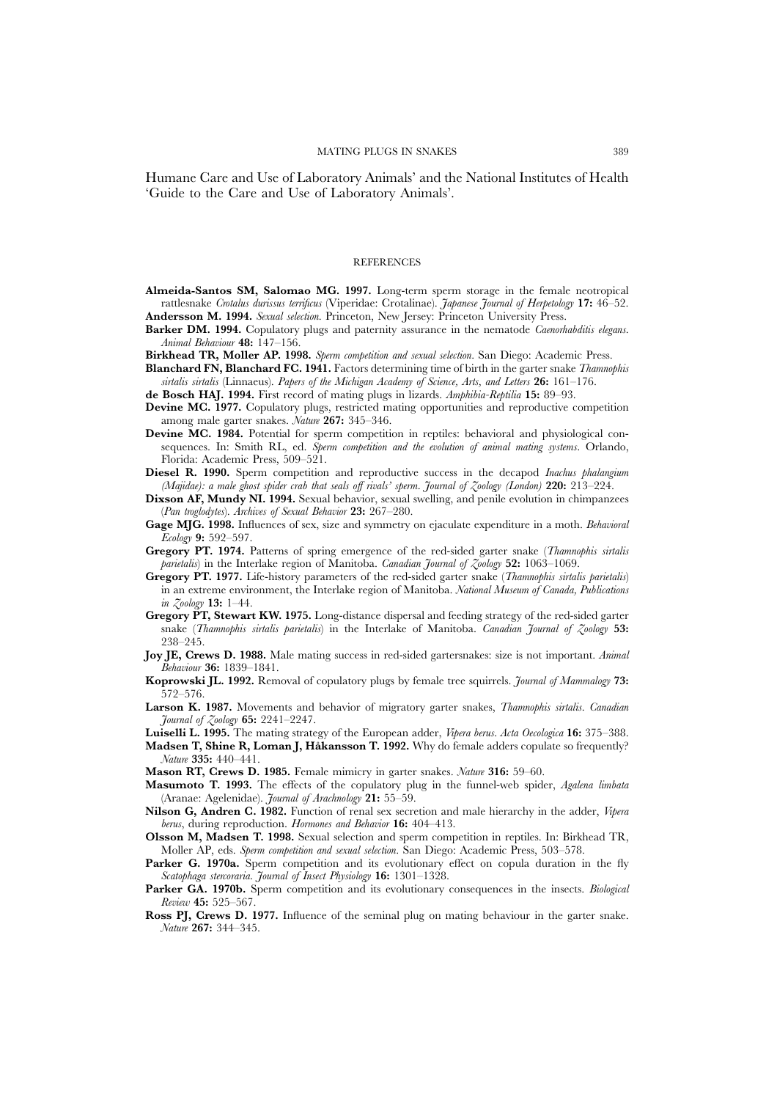<span id="page-12-0"></span>Humane Care and Use of Laboratory Animals' and the National Institutes of Health 'Guide to the Care and Use of Laboratory Animals'.

#### **REFERENCES**

**Almeida-Santos SM, Salomao MG. 1997.** Long-term sperm storage in the female neotropical rattlesnake *Crotalus durissus terrificus* (Viperidae: Crotalinae). *Japanese Journal of Herpetology* **17:** 46–52. **Andersson M. 1994.** *Sexual selection.* Princeton, New Jersey: Princeton University Press.

**Barker DM. 1994.** Copulatory plugs and paternity assurance in the nematode *Caenorhabditis elegans. Animal Behaviour* **48:** 147–156.

**Birkhead TR, Moller AP. 1998.** *Sperm competition and sexual selection.* San Diego: Academic Press.

- **Blanchard FN, Blanchard FC. 1941.** Factors determining time of birth in the garter snake *Thamnophis sirtalis sirtalis* (Linnaeus). *Papers of the Michigan Academy of Science, Arts, and Letters* **26:** 161–176.
- **de Bosch HAJ. 1994.** First record of mating plugs in lizards. *Amphibia-Reptilia* **15:** 89–93.
- **Devine MC. 1977.** Copulatory plugs, restricted mating opportunities and reproductive competition among male garter snakes. *Nature* **267:** 345–346.
- **Devine MC. 1984.** Potential for sperm competition in reptiles: behavioral and physiological consequences. In: Smith RL, ed. *Sperm competition and the evolution of animal mating systems*. Orlando, Florida: Academic Press, 509–521.
- **Diesel R. 1990.** Sperm competition and reproductive success in the decapod *Inachus phalangium (Majidae): a male ghost spider crab that seals off rivals' sperm. Journal of Zoology (London)* **220:** 213–224.
- **Dixson AF, Mundy NI. 1994.** Sexual behavior, sexual swelling, and penile evolution in chimpanzees (*Pan troglodytes*). *Archives of Sexual Behavior* **23:** 267–280.
- **Gage MJG. 1998.** Influences of sex, size and symmetry on ejaculate expenditure in a moth. *Behavioral Ecology* **9:** 592–597.
- **Gregory PT. 1974.** Patterns of spring emergence of the red-sided garter snake (*Thamnophis sirtalis parietalis*) in the Interlake region of Manitoba. *Canadian Journal of Zoology* **52:** 1063–1069.
- **Gregory PT. 1977.** Life-history parameters of the red-sided garter snake (*Thamnophis sirtalis parietalis*) in an extreme environment, the Interlake region of Manitoba. *National Museum of Canada, Publications in Zoology* **13:** 1–44.
- **Gregory PT, Stewart KW. 1975.** Long-distance dispersal and feeding strategy of the red-sided garter snake (*Thamnophis sirtalis parietalis*) in the Interlake of Manitoba. *Canadian Journal of Zoology* **53:** 238–245.
- **Joy JE, Crews D. 1988.** Male mating success in red-sided gartersnakes: size is not important. *Animal Behaviour* **36:** 1839–1841.
- **Koprowski JL. 1992.** Removal of copulatory plugs by female tree squirrels. *Journal of Mammalogy* **73:** 572–576.
- **Larson K. 1987.** Movements and behavior of migratory garter snakes, *Thamnophis sirtalis. Canadian Journal of Zoology* **65:** 2241–2247.
- **Luiselli L. 1995.** The mating strategy of the European adder, *Vipera berus. Acta Oecologica* **16:** 375–388.
- **Madsen T, Shine R, Loman J, Håkansson T. 1992.** Why do female adders copulate so frequently? *Nature* **335:** 440–441.
- **Mason RT, Crews D. 1985.** Female mimicry in garter snakes. *Nature* **316:** 59–60.
- **Masumoto T. 1993.** The effects of the copulatory plug in the funnel-web spider, *Agalena limbata* (Aranae: Agelenidae). *Journal of Arachnology* **21:** 55–59.
- **Nilson G, Andren C. 1982.** Function of renal sex secretion and male hierarchy in the adder, *Vipera berus*, during reproduction. *Hormones and Behavior* **16:** 404–413.
- **Olsson M, Madsen T. 1998.** Sexual selection and sperm competition in reptiles. In: Birkhead TR, Moller AP, eds. *Sperm competition and sexual selection*. San Diego: Academic Press, 503–578.
- Parker G. 1970a. Sperm competition and its evolutionary effect on copula duration in the fly *Scatophaga stercoraria. Journal of Insect Physiology* **16:** 1301–1328.
- **Parker GA. 1970b.** Sperm competition and its evolutionary consequences in the insects. *Biological Review* **45:** 525–567.
- **Ross PJ, Crews D. 1977.** Influence of the seminal plug on mating behaviour in the garter snake. *Nature* **267:** 344–345.